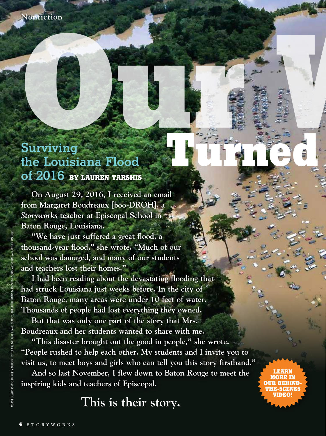# **[Our W](https://bit.ly/2S2AXhv)AREHOUSE Surviving the Louisiana Flood of 2016 BY LAUREN TARSHIS**

**On August 29, 2016, I received an email from Margaret Boudreaux [boo-DROH], a**  *Storyworks* **teacher at Episcopal School in Baton Rouge, Louisiana.**

**"We have just suffered a great flood, a thousand-year flood," she wrote. "Much of our school was damaged, and many of our students and teachers lost their homes."**

**I had been reading about the devastating flooding that had struck Louisiana just weeks before. In the city of Baton Rouge, many areas were under 10 feet of water. Thousands of people had lost everything they owned.** 

**But that was only one part of the story that Mrs. Boudreaux and her students wanted to share with me.** 

**"This disaster brought out the good in people," she wrote. "People rushed to help each other. My students and I invite you to visit us, to meet boys and girls who can tell you this story firsthand."**

**Behind** 

**And so last November, I flew down to Baton Rouge to meet the inspiring kids and teachers of Episcopal.** 

**This is their story.**

**Turned to Water**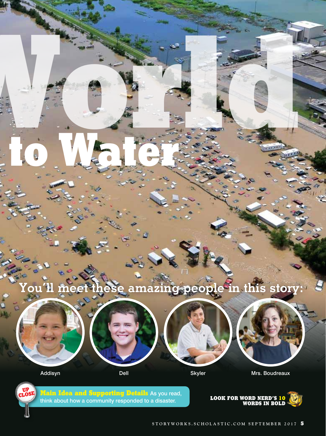

**Author's Purpose** As you read, think about why the author wrote this article and who wants you to learn the



**LOOK FOR WORD NERD'S 9 WORDS IN BOLD** 

**UP CLOSE** 

Addisyn Dell Bell Skyler Mrs. Boudreaux

**UP CLOSE**

**OUR WORLD** 

**Turned to Water**

**Main Idea and Supporting Details** As you read, think about how a community responded to a disaster. **LOOK FOR WORD NERD'S 10**

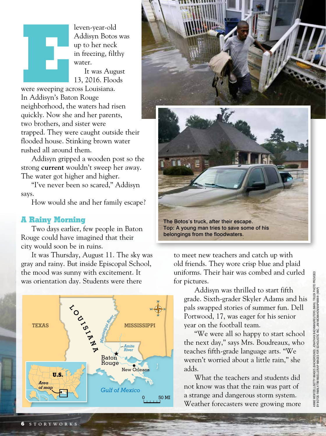leven-year-old<br>
Addisyn Botos<br>
up to her neck<br>
in freezing, filtl<br>
water.<br>
It was Augu<br>
13, 2016. Flood<br>
were sweeping across Louisiana.<br>
In Addisyn's Boton Boure Addisyn Botos was up to her neck in freezing, filthy water.

It was August 13, 2016. Floods

were sweeping across Louisiana. In Addisyn's Baton Rouge neighborhood, the waters had risen quickly. Now she and her parents, two brothers, and sister were trapped. They were caught outside their flooded house. Stinking brown water rushed all around them.

Addisyn gripped a wooden post so the strong **current** wouldn't sweep her away. The water got higher and higher.

"I've never been so scared," Addisyn says.

How would she and her family escape?

### **A Rainy Morning**

Two days earlier, few people in Baton Rouge could have imagined that their city would soon be in ruins.

It was Thursday, August 11. The sky was gray and rainy. But inside Episcopal School, the mood was sunny with excitement. It was orientation day. Students were there





The Botos's truck, after their escape. Top: A young man tries to save some of his belongings from the floodwaters.

to meet new teachers and catch up with old friends. They wore crisp blue and plaid uniforms. Their hair was combed and curled for pictures.

Addisyn was thrilled to start fifth grade. Sixth-grader Skyler Adams and his pals swapped stories of summer fun. Dell Portwood, 17, was eager for his senior year on the football team.

"We were all so happy to start school the next day," says Mrs. Boudreaux, who teaches fifth-grade language arts. "We weren't worried about a little rain," she adds.

What the teachers and students did not know was that the rain was part of a strange and dangerous storm system. Weather forecasters were growing more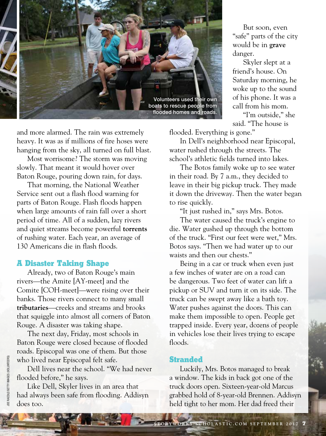

and more alarmed. The rain was extremely heavy. It was as if millions of fire hoses were hanging from the sky, all turned on full blast.

Most worrisome? The storm was moving slowly. That meant it would hover over Baton Rouge, pouring down rain, for days.

That morning, the National Weather Service sent out a flash flood warning for parts of Baton Rouge. Flash floods happen when large amounts of rain fall over a short period of time. All of a sudden, lazy rivers and quiet streams become powerful **torrents** of rushing water. Each year, an average of 130 Americans die in flash floods.

#### **A Disaster Taking Shape**

Already, two of Baton Rouge's main rivers—the Amite [AY-meet] and the Comite [COH-meet]—were rising over their banks. Those rivers connect to many small **tributaries**—creeks and streams and brooks that squiggle into almost all corners of Baton Rouge. A disaster was taking shape.

The next day, Friday, most schools in Baton Rouge were closed because of flooded roads. Episcopal was one of them. But those who lived near Episcopal felt safe.

Dell lives near the school. "We had never flooded before," he says.

Like Dell, Skyler lives in an area that had always been safe from flooding. Addisyn does too.

But soon, even "safe" parts of the city would be in **grave** danger.

Skyler slept at a friend's house. On Saturday morning, he woke up to the sound of his phone. It was a call from his mom.

"I'm outside," she said. "The house is

flooded. Everything is gone."

In Dell's neighborhood near Episcopal, water rushed through the streets. The school's athletic fields turned into lakes.

The Botos family woke up to see water in their road. By 7 a.m., they decided to leave in their big pickup truck. They made it down the driveway. Then the water began to rise quickly.

"It just rushed in," says Mrs. Botos.

The water caused the truck's engine to die. Water gushed up through the bottom of the truck. "First our feet were wet," Mrs. Botos says. "Then we had water up to our waists and then our chests."

Being in a car or truck when even just a few inches of water are on a road can be dangerous. Two feet of water can lift a pickup or SUV and turn it on its side. The truck can be swept away like a bath toy. Water pushes against the doors. This can make them impossible to open. People get trapped inside. Every year, dozens of people in vehicles lose their lives trying to escape floods.

#### **Stranded**

Luckily, Mrs. Botos managed to break a window. The kids in back got one of the truck doors open. Sixteen-year-old Marcus grabbed hold of 8-year-old Brennen. Addisyn held tight to her mom. Her dad freed their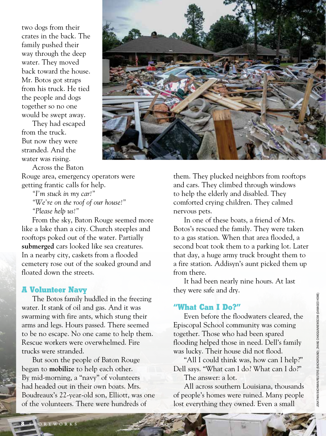two dogs from their crates in the back. The family pushed their way through the deep water. They moved back toward the house. Mr. Botos got straps from his truck. He tied the people and dogs together so no one would be swept away.

They had escaped from the truck. But now they were stranded. And the water was rising.

Across the Baton



Rouge area, emergency operators were getting frantic calls for help.

*"I'm stuck in my car!" "We're on the roof of our house!" "Please help us!"*

From the sky, Baton Rouge seemed more like a lake than a city. Church steeples and rooftops poked out of the water. Partially **submerged** cars looked like sea creatures. In a nearby city, caskets from a flooded cemetery rose out of the soaked ground and floated down the streets.

#### **A Volunteer Navy**

The Botos family huddled in the freezing water. It stank of oil and gas. And it was swarming with fire ants, which stung their arms and legs. Hours passed. There seemed to be no escape. No one came to help them. Rescue workers were overwhelmed. Fire trucks were stranded.

But soon the people of Baton Rouge began to **mobilize** to help each other. By mid-morning, a "navy" of volunteers had headed out in their own boats. Mrs. Boudreaux's 22-year-old son, Elliott, was one of the volunteers. There were hundreds of

them. They plucked neighbors from rooftops and cars. They climbed through windows to help the elderly and disabled. They comforted crying children. They calmed nervous pets.

In one of these boats, a friend of Mrs. Botos's rescued the family. They were taken to a gas station. When that area flooded, a second boat took them to a parking lot. Later that day, a huge army truck brought them to a fire station. Addisyn's aunt picked them up from there.

It had been nearly nine hours. At last they were safe and dry.

## **"What Can I Do?"**

Even before the floodwaters cleared, the Episcopal School community was coming together. Those who had been spared flooding helped those in need. Dell's family was lucky. Their house did not flood.

"All I could think was, how can I help?" Dell says. "What can I do? What can I do?"

The answer: a lot.

All across southern Louisiana, thousands of people's homes were ruined. Many people lost everything they owned. Even a small